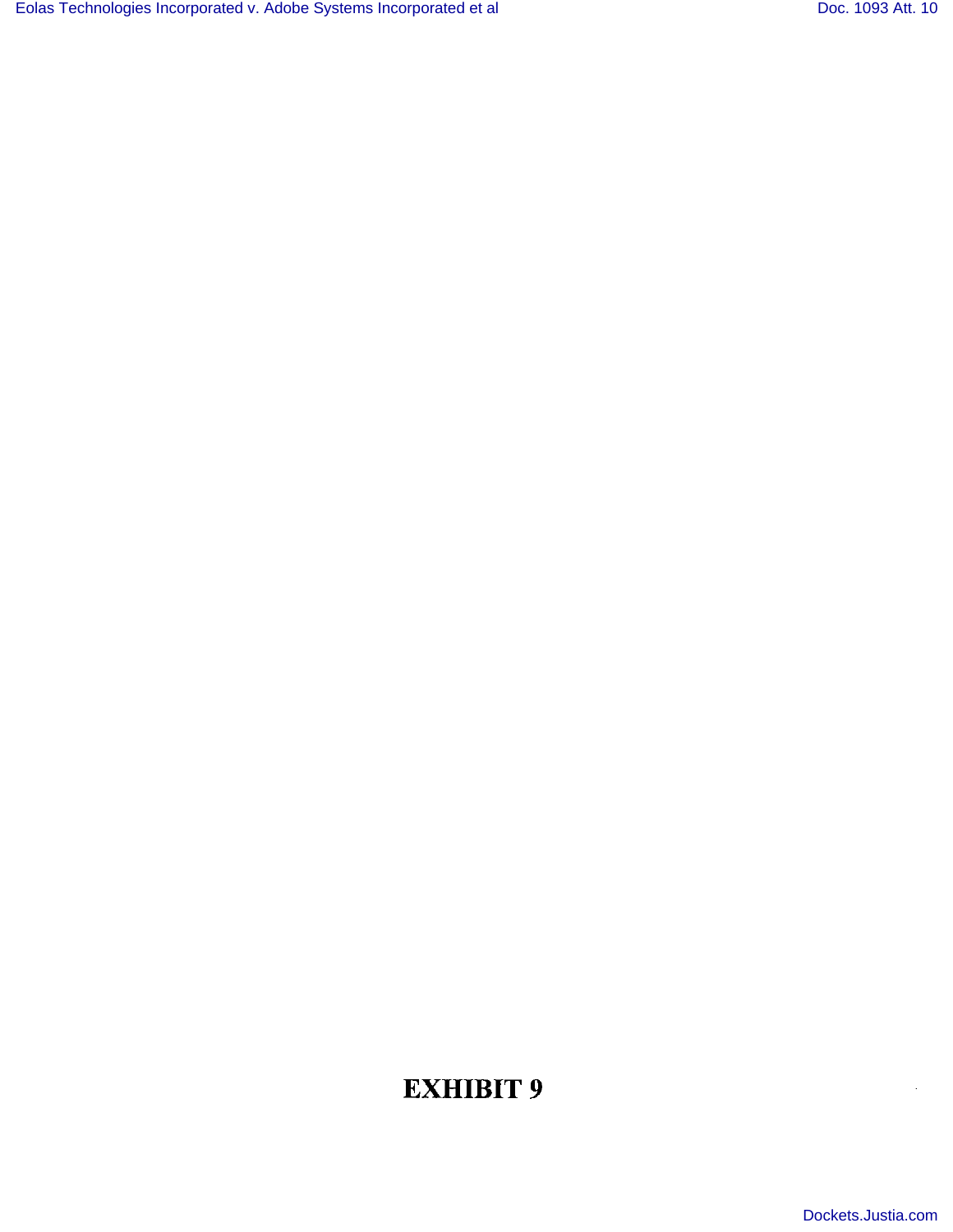# EXHIBIT 9

[Dockets.Justia.com](http://dockets.justia.com/)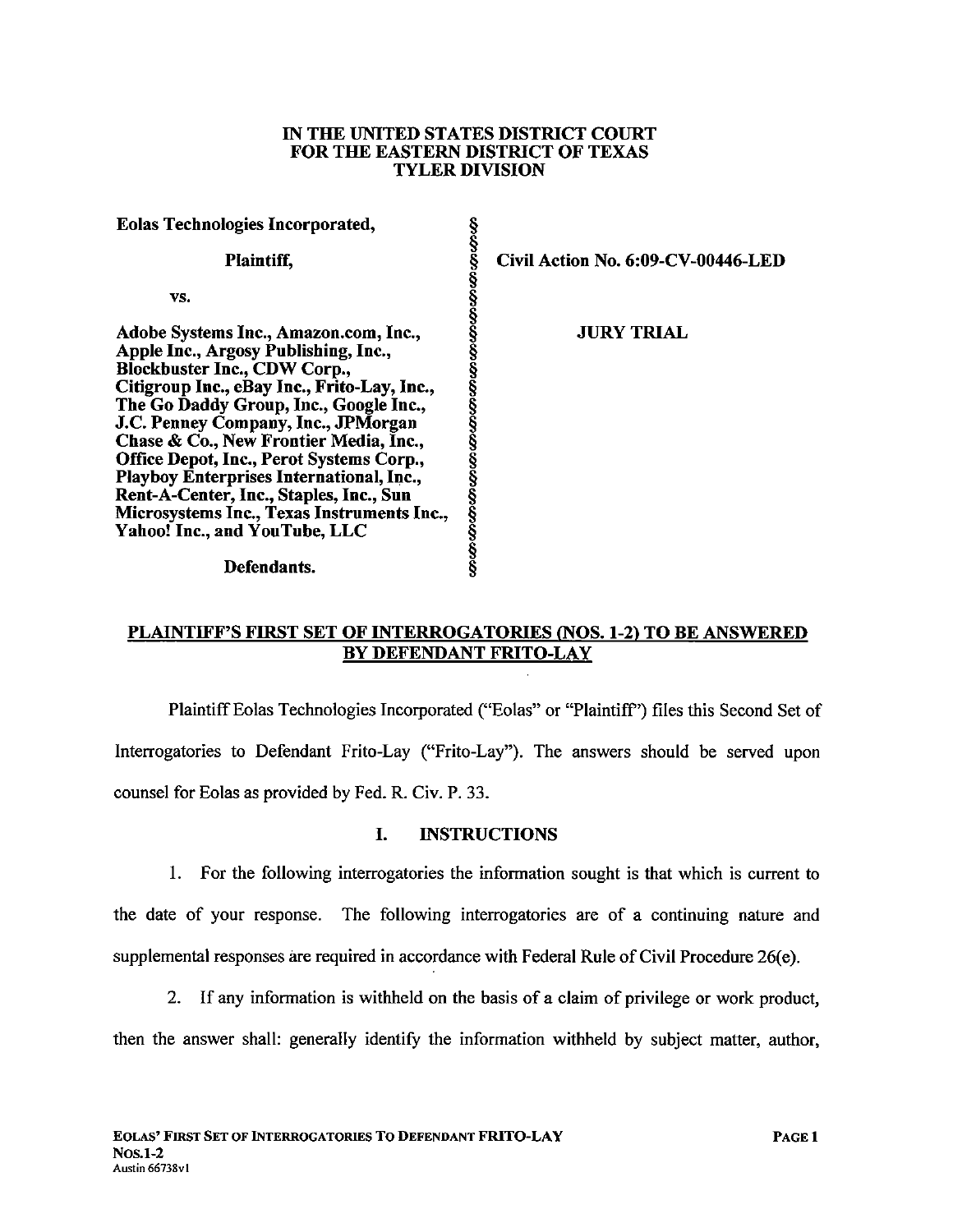#### IN THE UNTED STATES DISTRICT COURT FOR THE EASTERN DISTRICT OF TEXAS TYLER DIVISION

| <b>Eolas Technologies Incorporated,</b>     |    |
|---------------------------------------------|----|
| Plaintiff,                                  | Ci |
| VS.                                         |    |
| Adobe Systems Inc., Amazon.com, Inc.,       |    |
| Apple Inc., Argosy Publishing, Inc.,        |    |
| <b>Blockbuster Inc., CDW Corp.,</b>         |    |
| Citigroup Inc., eBay Inc., Frito-Lay, Inc., |    |
| The Go Daddy Group, Inc., Google Inc.,      |    |
| J.C. Penney Company, Inc., JPMorgan         |    |
| Chase & Co., New Frontier Media, Inc.,      |    |
| Office Depot, Inc., Perot Systems Corp.,    |    |
| Playboy Enterprises International, Inc.,    |    |
| Rent-A-Center, Inc., Staples, Inc., Sun     |    |
| Microsystems Inc., Texas Instruments Inc.,  |    |
| Yahoo! Inc., and YouTube, LLC               |    |
|                                             |    |

Defendants.

§ Civil Action No. 6:09-CV-00446-LED

**JURY TRIAL** 

# PLAINTIFF'S FIRST SET OF INTERROGATORIES (NOS. 1-2) TO BE ANSWERED BY DEFENDANT FRITO-LAY

§

Plaintiff Eolas Technologies Incorporated ("Eolas" or "Plaintiff') fies this Second Set of Interrogatories to Defendant Frito-Lay ("Frito-Lay"). The answers should be served upon counsel for Eolas as provided by Fed. R. Civ. P. 33.

## I. INSTRUCTIONS

1. For the following interrogatories the information sought is that which is current to the date of your response. The following interrogatories are of a continuing nature and supplemental responses are required in accordance with Federal Rule of Civil Procedure 26(e).

2. If any information is withheld on the basis of a claim of privilege or work product, then the answer shall: generally identify the information withheld by subject matter, author,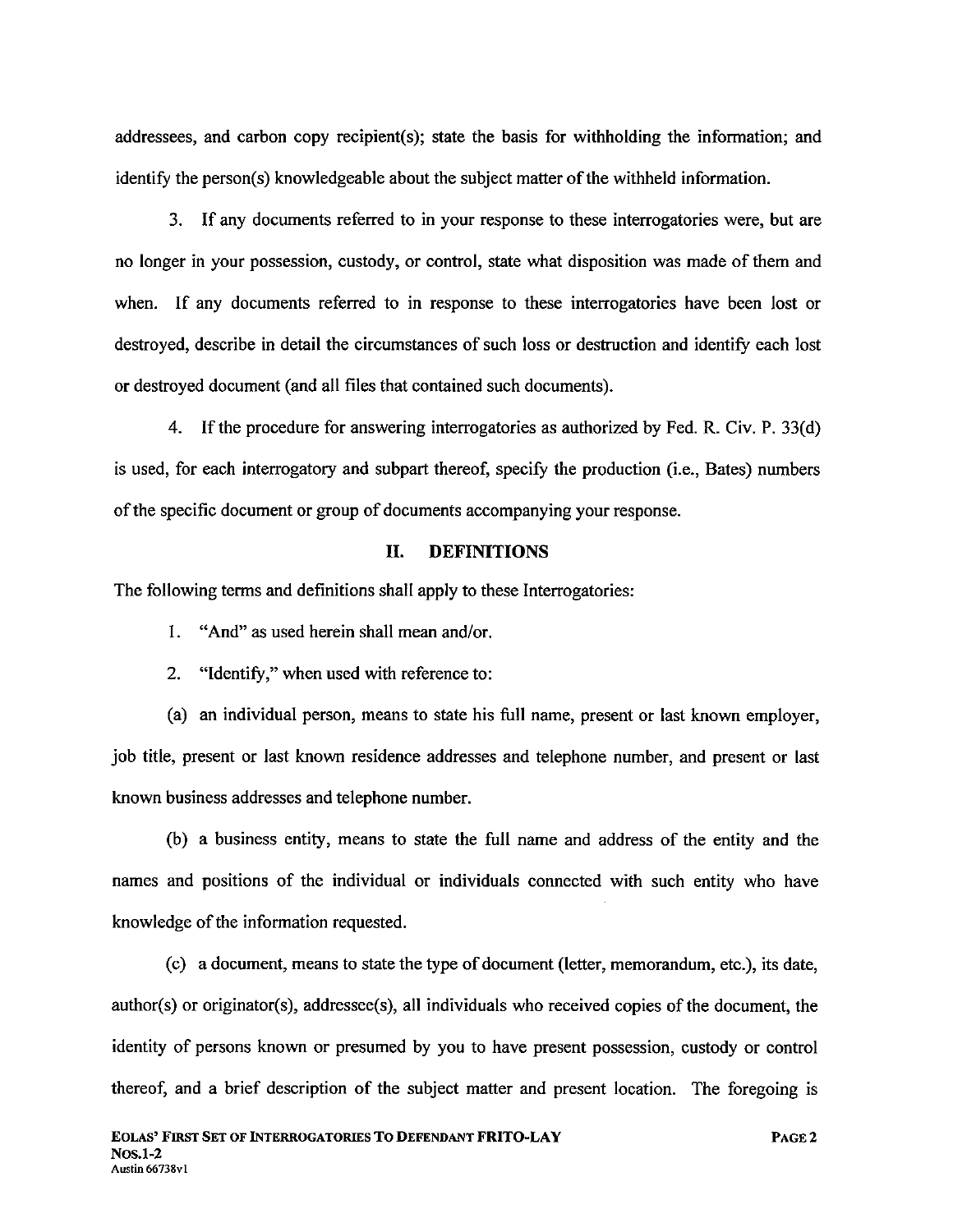addressees, and carbon copy recipient(s); state the basis for withholding the information; and identify the person(s) knowledgeable about the subject matter of the withheld information.

3. If any documents referred to in your response to these interrogatories were, but are no longer in your possession, custody, or control, state what disposition was made of them and when. If any documents referred to in response to these interrogatories have been lost or destroyed, describe in detail the circumstances of such loss or destruction and identify each lost or destroyed document (and all fies that contained such documents).

4. If the procedure for answering interrogatories as authorized by Fed. R. Civ. P. 33(d) is used, for each interrogatory and subpart thereof, specify the production (i.e., Bates) numbers of the specific document or group of documents accompanying your response.

### II. DEFINITIONS

The following terms and definitions shall apply to these Interrogatories:

1. "And" as used herein shall mean and/or.

2. "Identify," when used with reference to:

(a) an individual person, means to state his full name, present or last known employer, job title, present or last known residence addresses and telephone number, and present or last known business addresses and telephone number.

(b) a business entity, means to state the full name and address of the entity and the names and positions of the individual or individuals connected with such entity who have knowledge of the information requested.

(c) a document, means to state the type of document (letter, memorandum, etc.), its date,  $author(s)$  or originator(s), addressee(s), all individuals who received copies of the document, the identity of persons known or presumed by you to have present possession, custody or control thereof, and a brief description of the subject matter and present location. The foregoing is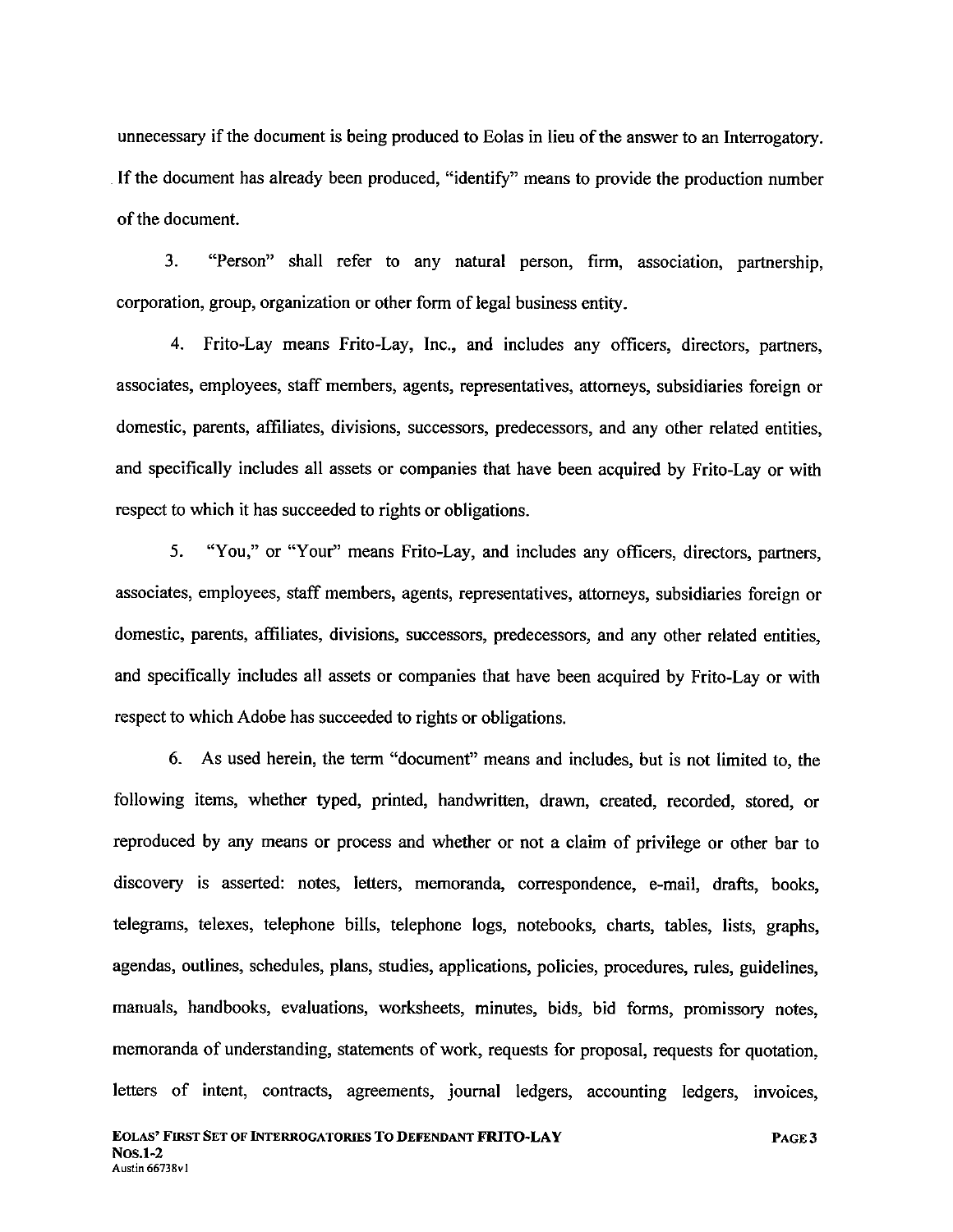unnecessary if the document is being produced to Eolas in lieu of the answer to an Interrogatory. . If the document has already been produced, "identify" means to provide the production number of the document.

3. "Person" shall refer to any natural person, firm, association, partnership, corporation, group, organization or other form of legal business entity.

4. Frito-Lay means Frito-Lay, Inc., and includes any officers, directors, partners, associates, employees, staff members, agents, representatives, attorneys, subsidiaries foreign or domestic, parents, affliates, divisions, successors, predecessors, and any other related entities, and specifically includes all assets or companies that have been acquired by Frito-Lay or with respect to which it has succeeded to rights or obligations.

5. "You," or "Your" means Frito-Lay, and includes any officers, directors, partners, associates, employees, staff members, agents, representatives, attorneys, subsidiaries foreign or domestic, parents, affliates, divisions, successors, predecessors, and any other related entities, and specifically includes all assets or companies that have been acquired by Frito-Lay or with respect to which Adobe has succeeded to rights or obligations.

6. As used herein, the term "document" means and includes, but is not limited to, the following items, whether typed, printed, handwritten, drawn, created, recorded, stored, or reproduced by any means or process and whether or not a claim of privilege or other bar to discovery is asserted: notes, letters, memoranda, correspondence, e-mail, drafts, books, telegrams, telexes, telephone bils, telephone logs, notebooks, charts, tables, lists, graphs, agendas, outlines, schedules, plans, studies, applications, policies, procedures, rules, guidelines, manuals, handbooks, evaluations, worksheets, minutes, bids, bid forms, promissory notes, memoranda of understanding, statements of work, requests for proposal, requests for quotation, letters of intent, contracts, agreements, journal ledgers, accounting ledgers, invoices,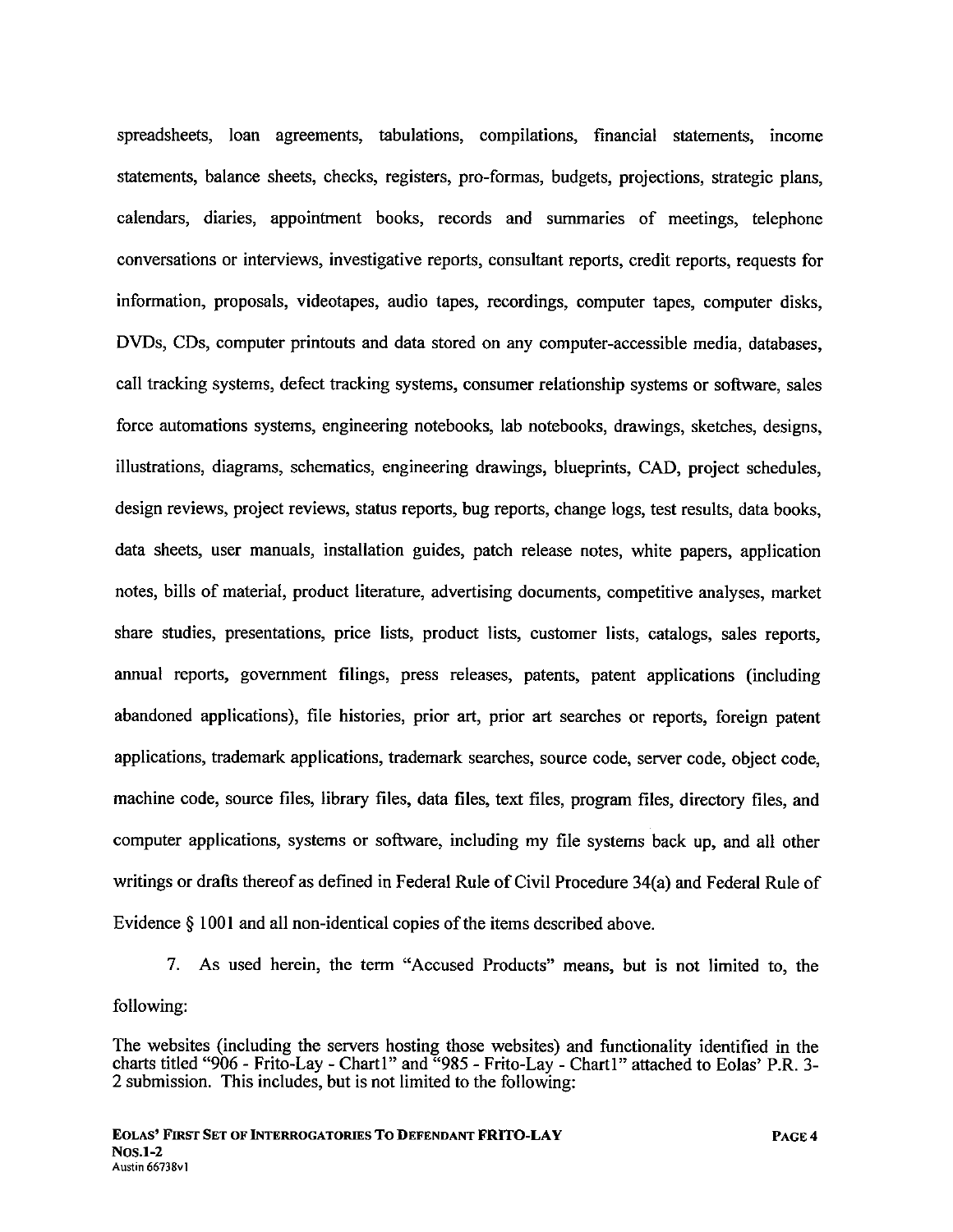spreadsheets, loan agreements, tabulations, compilations, financial statements, income statements, balance sheets, checks, registers, pro-formas, budgets, projections, strategic plans, calendars, diaries, appointment books, records and sumaries of meetings, telephone conversations or interviews, investigative reports, consultant reports, credit reports, requests for information, proposals, videotapes, audio tapes, recordings, computer tapes, computer disks, DVDs, CDs, computer printouts and data stored on any computer-accessible media, databases, call tracking systems, defect tracking systems, consumer relationship systems or software, sales force automations systems, engineering notebooks, lab notebooks, drawings, sketches, designs, ilustrations, diagrams, schematics, engineering drawings, blueprints, CAD, project schedules, design reviews, project reviews, status reports, bug reports, change logs, test results, data books, data sheets, user manuals, installation guides, patch release notes, white papers, application notes, bils of material, product literature, advertising documents, competitive analyses, market share studies, presentations, price lists, product lists, customer lists, catalogs, sales reports, anual reports, government filings, press releases, patents, patent applications (including abandoned applications), fie histories, prior art, prior art searches or reports, foreign patent applications, trademark applications, trademark searches, source code, server code, object code, machine code, source files, library files, data files, text files, program files, directory files, and computer applications, systems or software, including my file systems back up, and all other writings or drafts thereof as defined in Federal Rule of Civil Procedure 34(a) and Federal Rule of Evidence § 1001 and all non-identical copies of the items described above.

7. As used herein, the term "Accused Products" means, but is not limited to, the following:

The websites (including the servers hosting those websites) and functionality identified in the charts titled "906 - Frito-Lay - Chartl" and "985 - Frito-Lay - Chartl" attached to Eolas' P.R. 3-2 submission. This includes, but is not limited to the following: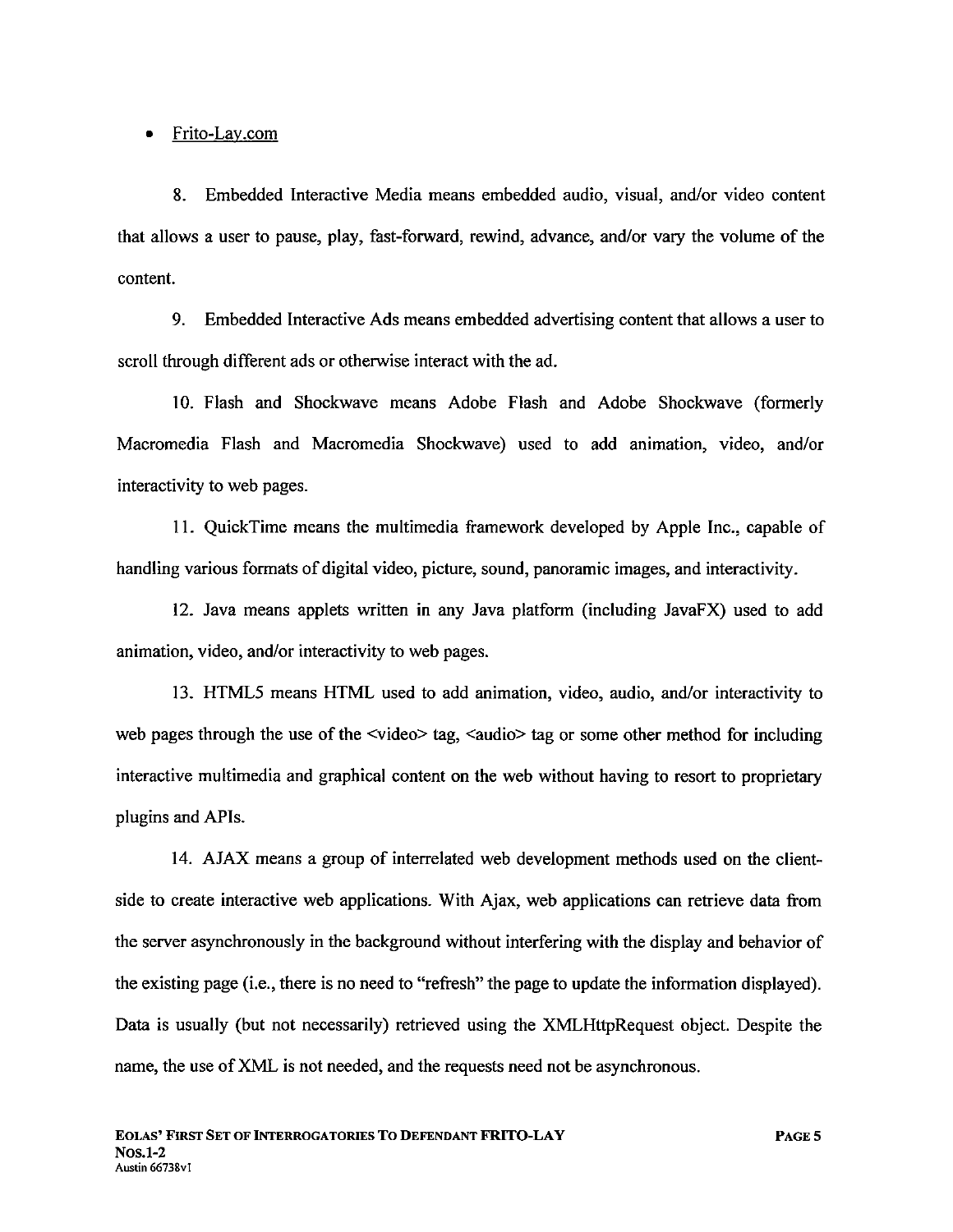. Frito-Lav.com

8. Embedded Interactive Media means embedded audio, visual, and/or video content that allows a user to pause, play, fast-forward, rewind, advance, and/or vary the volume of the content.

9. Embedded Interactive Ads means embedded advertising content that allows a user to scroll through different ads or otherwise interact with the ad.

10. Flash and Shockwave means Adobe Flash and Adobe Shockwave (formerly Macromedia Flash and Macromedia Shockwave) used to add animation, video, and/or interactivity to web pages.

11. QuickTime means the multimedia framework developed by Apple Inc., capable of handling various formats of digital video, picture, sound, panoramic images, and interactivity.

12. Java means applets written in any Java platform (including JavaFX) used to add animation, video, and/or interactivity to web pages.

13. HTML5 means HTML used to add animation, video, audio, and/or interactivity to web pages through the use of the  $\le$ video $\ge$  tag,  $\le$ audio $\ge$  tag or some other method for including interactive multimedia and graphical content on the web without having to resort to proprietar plugins and APIs.

14. AJAX means a group of interrelated web development methods used on the clientside to create interactive web applications. With Ajax, web applications can retrieve data from the server asynchronously in the background without interfering with the display and behavior of the existing page (i.e., there is no need to "refresh" the page to update the information displayed). Data is usually (but not necessarily) retrieved using the XMLHttpRequest object. Despite the name, the use of XML is not needed, and the requests need not be asynchronous.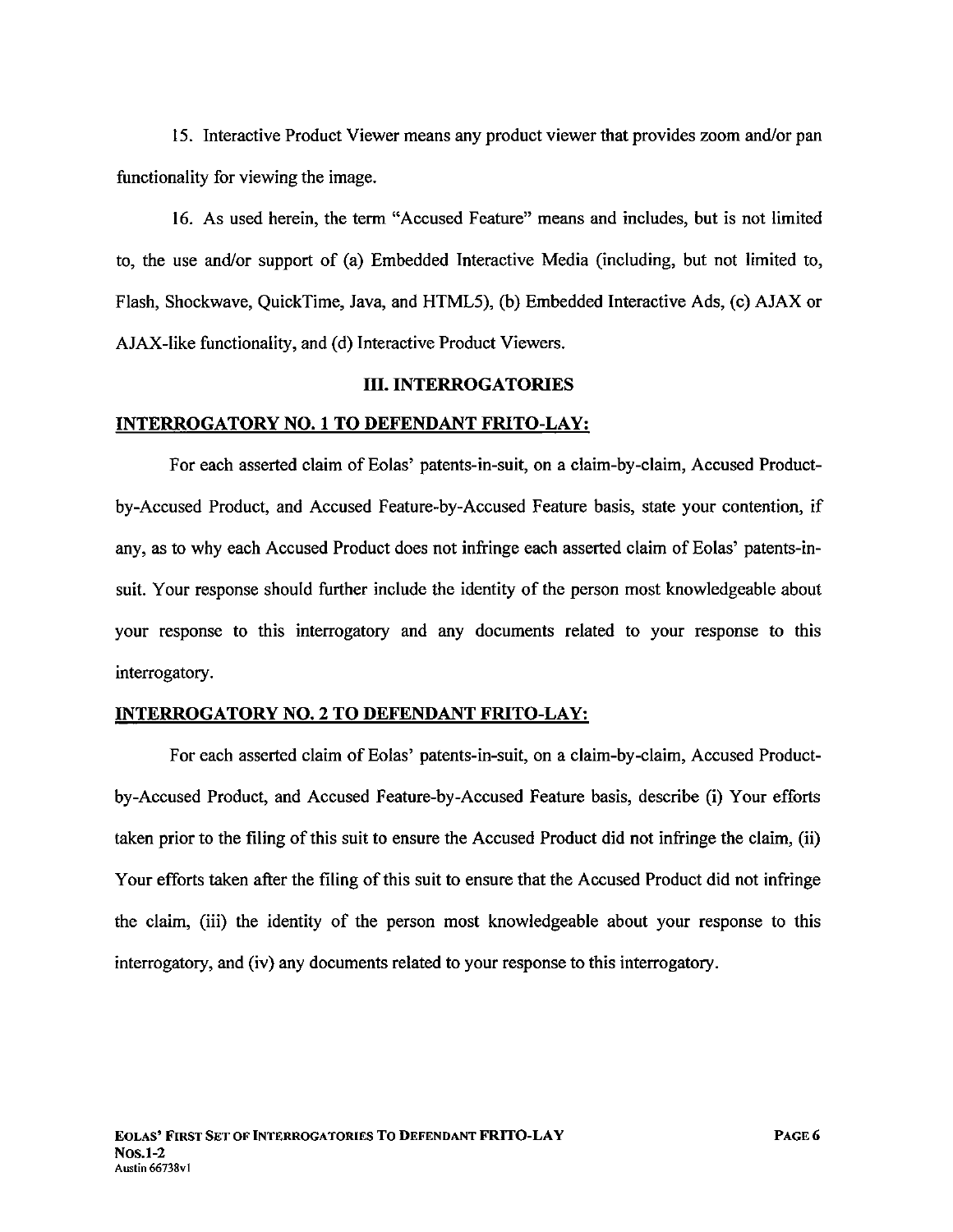15. Interactive Product Viewer means any product viewer that provides zoom and/or pan functionality for viewing the image.

16. As used herein, the term "Accused Feature" means and includes, but is not limited to, the use and/or support of (a) Embedded Interactive Media (including, but not limited to, Flash, Shockwave, QuickTime, Java, and HTML5), (b) Embedded Interactive Ads, (c) AJAX or AJAX-like functionality, and (d) Interactive Product Viewers.

#### III. INTERROGATORIES

#### INTERROGATORY NO.1 TO DEFENDANT FRITO-LAY:

For each asserted claim of Eolas' patents-in-suit, on a claim-by-claim, Accused Productby-Accused Product, and Accused Feature-by-Accused Feature basis, state your contention, if any, as to why each Accused Product does not infringe each asserted claim of Eolas' patents-insuit. Your response should further include the identity of the person most knowledgeable about your response to this interrogatory and any documents related to your response to this interrogatory.

#### INTERROGATORY NO.2 TO DEFENDANT FRITO-LAY:

For each asserted claim of Eolas' patents-in-suit, on a claim-by-claim, Accused Productby-Accused Product, and Accused Feature-by-Accused Feature basis, describe (i) Your efforts taken prior to the filing of this suit to ensure the Accused Product did not infringe the claim, (ii) Your efforts taken after the filing of this suit to ensure that the Accused Product did not infringe the claim, (iii) the identity of the person most knowledgeable about your response to this interrogatory, and (iv) any documents related to your response to this interrogatory.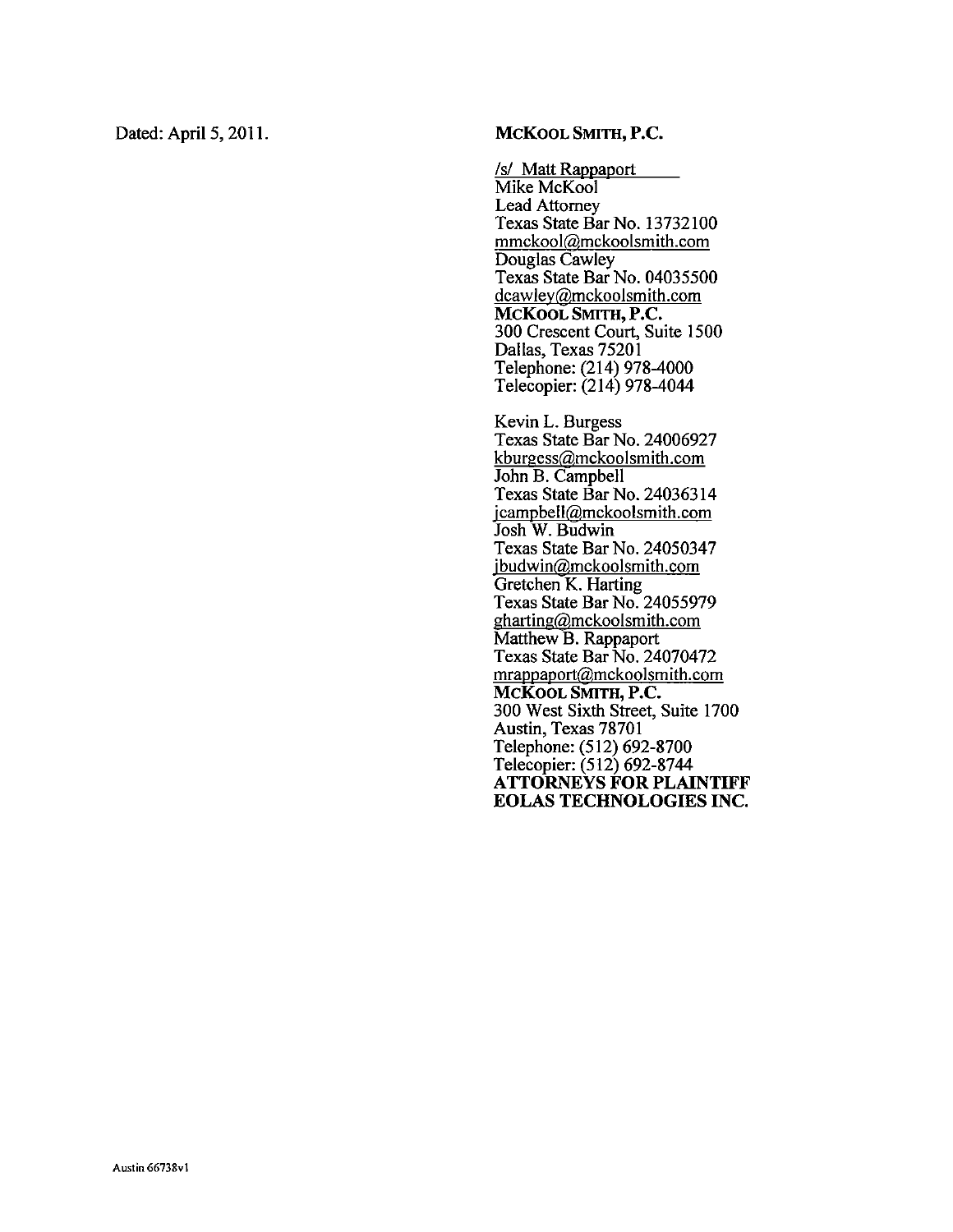### Dated: April 5, 2011. MCKOOL SMITH, P.C.

/s! Matt Rappaport Mike McKool Lead Attorney Texas State Bar No. 13732100 mmckoolígmckoolsmith.com Douglas Cawley Texas State Bar No. 04035500 dcawley@mckoolsmith.com McKoOL SMITH, P.C. 300 Crescent Court, Suite 1500 Dallas, Texas 75201 Telephone: (214) 978-4000 Telecopier: (214) 978-4044

Kevin L. Burgess Texas State Bar No. 24006927 kburgess@mckoolsmith.com John B. Campbell Texas State Bar No. 24036314 icampbellígmckoolsmith.com Josh W. Budwin Texas State Bar No. 24050347 <u>ibudwin@mckoolsmith.com</u> Gretchen K. Harting Texas State Bar No. 24055979  $gharting@mckoolsmith.com$ Matthew B. Rappaport Texas State Bar No. 24070472 mrappaportígmckoolsmith.com MCKOOL SMITH, P.C. 300 West Sixth Street, Suite 1700 Austin, Texas 78701 Telephone: (512) 692-8700 Telecopier: (512) 692-8744 ATTORNEYS FOR PLAINTIFF EOLAS TECHNOLOGIES INC.